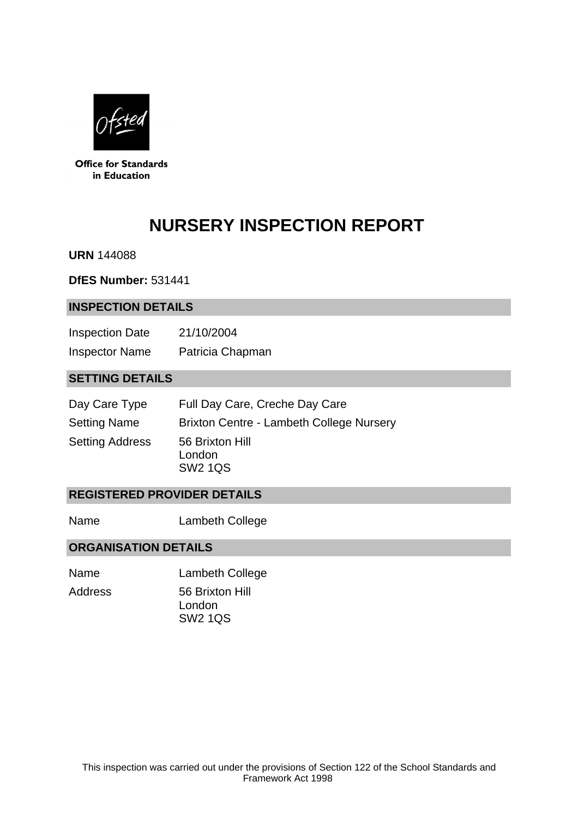

**Office for Standards** in Education

# **NURSERY INSPECTION REPORT**

**URN** 144088

**DfES Number:** 531441

#### **INSPECTION DETAILS**

| <b>Inspection Date</b> | 21/10/2004       |
|------------------------|------------------|
| <b>Inspector Name</b>  | Patricia Chapman |

## **SETTING DETAILS**

| Day Care Type          | Full Day Care, Creche Day Care              |
|------------------------|---------------------------------------------|
| <b>Setting Name</b>    | Brixton Centre - Lambeth College Nursery    |
| <b>Setting Address</b> | 56 Brixton Hill<br>London<br><b>SW2 1QS</b> |

# **REGISTERED PROVIDER DETAILS**

Name Lambeth College

## **ORGANISATION DETAILS**

| Name    | <b>Lambeth College</b> |
|---------|------------------------|
| Address | 56 Brixton Hill        |
|         | London                 |
|         | <b>SW2 1QS</b>         |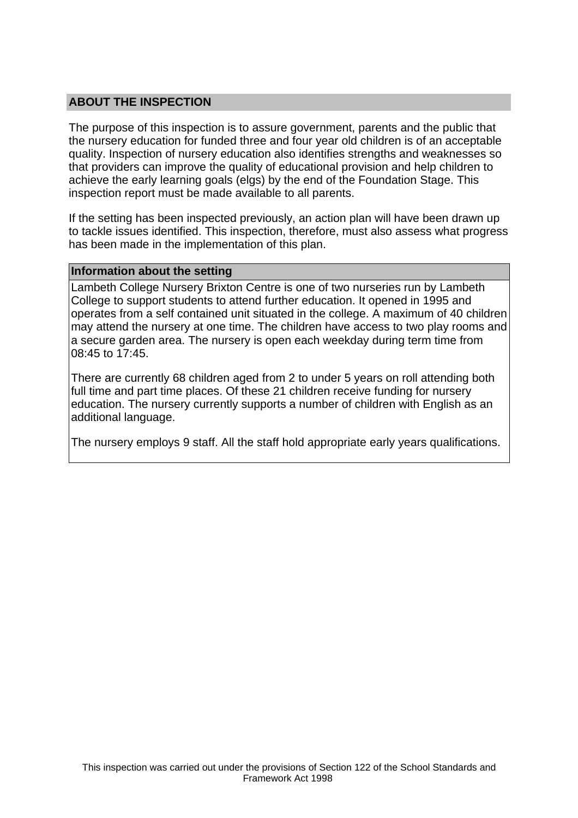## **ABOUT THE INSPECTION**

The purpose of this inspection is to assure government, parents and the public that the nursery education for funded three and four year old children is of an acceptable quality. Inspection of nursery education also identifies strengths and weaknesses so that providers can improve the quality of educational provision and help children to achieve the early learning goals (elgs) by the end of the Foundation Stage. This inspection report must be made available to all parents.

If the setting has been inspected previously, an action plan will have been drawn up to tackle issues identified. This inspection, therefore, must also assess what progress has been made in the implementation of this plan.

#### **Information about the setting**

Lambeth College Nursery Brixton Centre is one of two nurseries run by Lambeth College to support students to attend further education. It opened in 1995 and operates from a self contained unit situated in the college. A maximum of 40 children may attend the nursery at one time. The children have access to two play rooms and a secure garden area. The nursery is open each weekday during term time from 08:45 to 17:45.

There are currently 68 children aged from 2 to under 5 years on roll attending both full time and part time places. Of these 21 children receive funding for nursery education. The nursery currently supports a number of children with English as an additional language.

The nursery employs 9 staff. All the staff hold appropriate early years qualifications.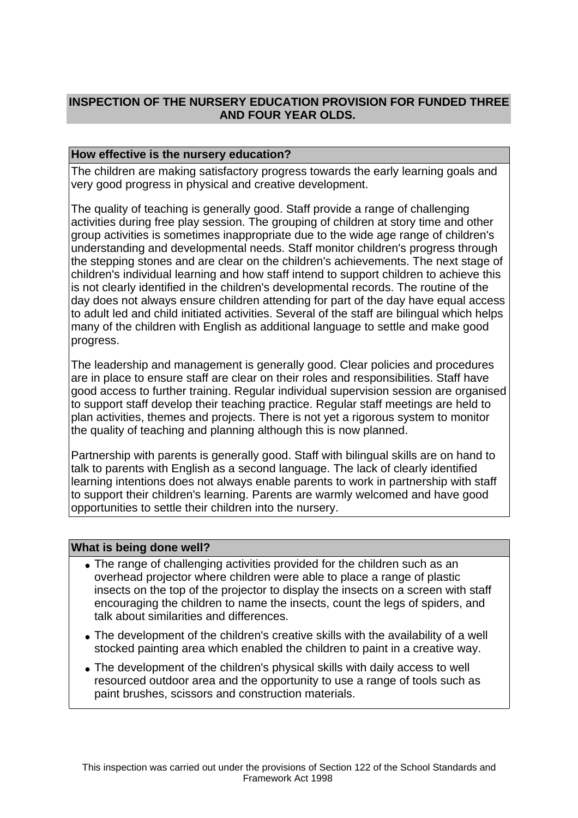# **INSPECTION OF THE NURSERY EDUCATION PROVISION FOR FUNDED THREE AND FOUR YEAR OLDS.**

## **How effective is the nursery education?**

The children are making satisfactory progress towards the early learning goals and very good progress in physical and creative development.

The quality of teaching is generally good. Staff provide a range of challenging activities during free play session. The grouping of children at story time and other group activities is sometimes inappropriate due to the wide age range of children's understanding and developmental needs. Staff monitor children's progress through the stepping stones and are clear on the children's achievements. The next stage of children's individual learning and how staff intend to support children to achieve this is not clearly identified in the children's developmental records. The routine of the day does not always ensure children attending for part of the day have equal access to adult led and child initiated activities. Several of the staff are bilingual which helps many of the children with English as additional language to settle and make good progress.

The leadership and management is generally good. Clear policies and procedures are in place to ensure staff are clear on their roles and responsibilities. Staff have good access to further training. Regular individual supervision session are organised to support staff develop their teaching practice. Regular staff meetings are held to plan activities, themes and projects. There is not yet a rigorous system to monitor the quality of teaching and planning although this is now planned.

Partnership with parents is generally good. Staff with bilingual skills are on hand to talk to parents with English as a second language. The lack of clearly identified learning intentions does not always enable parents to work in partnership with staff to support their children's learning. Parents are warmly welcomed and have good opportunities to settle their children into the nursery.

## **What is being done well?**

- The range of challenging activities provided for the children such as an overhead projector where children were able to place a range of plastic insects on the top of the projector to display the insects on a screen with staff encouraging the children to name the insects, count the legs of spiders, and talk about similarities and differences.
- The development of the children's creative skills with the availability of a well stocked painting area which enabled the children to paint in a creative way.
- The development of the children's physical skills with daily access to well resourced outdoor area and the opportunity to use a range of tools such as paint brushes, scissors and construction materials.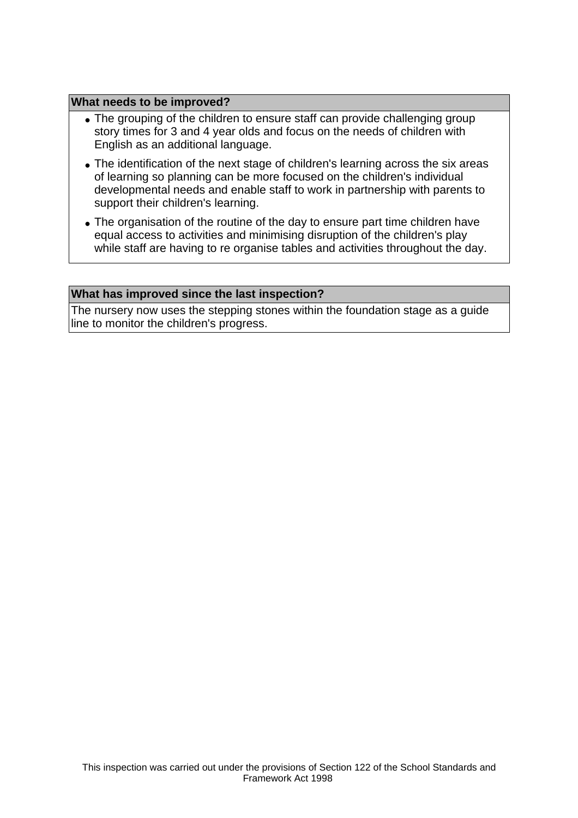#### **What needs to be improved?**

- The grouping of the children to ensure staff can provide challenging group story times for 3 and 4 year olds and focus on the needs of children with English as an additional language.
- The identification of the next stage of children's learning across the six areas of learning so planning can be more focused on the children's individual developmental needs and enable staff to work in partnership with parents to support their children's learning.
- The organisation of the routine of the day to ensure part time children have equal access to activities and minimising disruption of the children's play while staff are having to re organise tables and activities throughout the day.

#### **What has improved since the last inspection?**

The nursery now uses the stepping stones within the foundation stage as a guide line to monitor the children's progress.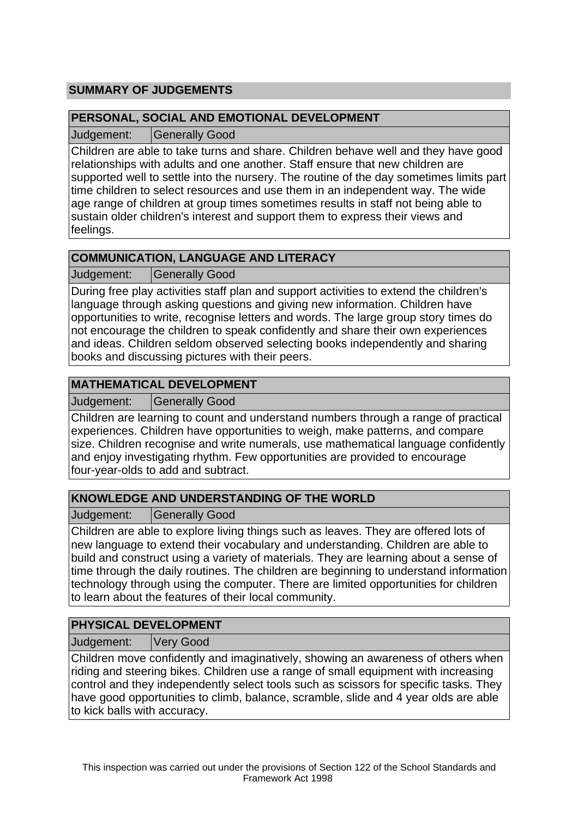# **SUMMARY OF JUDGEMENTS**

## **PERSONAL, SOCIAL AND EMOTIONAL DEVELOPMENT**

Judgement: Generally Good

Children are able to take turns and share. Children behave well and they have good relationships with adults and one another. Staff ensure that new children are supported well to settle into the nursery. The routine of the day sometimes limits part time children to select resources and use them in an independent way. The wide age range of children at group times sometimes results in staff not being able to sustain older children's interest and support them to express their views and feelings.

# **COMMUNICATION, LANGUAGE AND LITERACY**

Judgement: Generally Good

During free play activities staff plan and support activities to extend the children's language through asking questions and giving new information. Children have opportunities to write, recognise letters and words. The large group story times do not encourage the children to speak confidently and share their own experiences and ideas. Children seldom observed selecting books independently and sharing books and discussing pictures with their peers.

# **MATHEMATICAL DEVELOPMENT**

Judgement: | Generally Good

Children are learning to count and understand numbers through a range of practical experiences. Children have opportunities to weigh, make patterns, and compare size. Children recognise and write numerals, use mathematical language confidently and enjoy investigating rhythm. Few opportunities are provided to encourage four-year-olds to add and subtract.

# **KNOWLEDGE AND UNDERSTANDING OF THE WORLD**

Judgement: Generally Good

Children are able to explore living things such as leaves. They are offered lots of new language to extend their vocabulary and understanding. Children are able to build and construct using a variety of materials. They are learning about a sense of time through the daily routines. The children are beginning to understand information technology through using the computer. There are limited opportunities for children to learn about the features of their local community.

# **PHYSICAL DEVELOPMENT**

Judgement: Very Good

Children move confidently and imaginatively, showing an awareness of others when riding and steering bikes. Children use a range of small equipment with increasing control and they independently select tools such as scissors for specific tasks. They have good opportunities to climb, balance, scramble, slide and 4 year olds are able to kick balls with accuracy.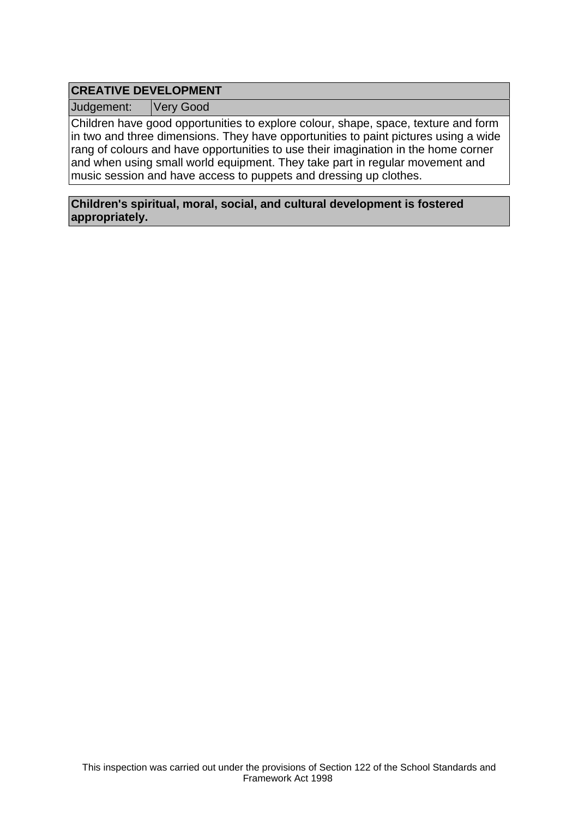# **CREATIVE DEVELOPMENT**

Judgement: Very Good

Children have good opportunities to explore colour, shape, space, texture and form in two and three dimensions. They have opportunities to paint pictures using a wide rang of colours and have opportunities to use their imagination in the home corner and when using small world equipment. They take part in regular movement and music session and have access to puppets and dressing up clothes.

**Children's spiritual, moral, social, and cultural development is fostered appropriately.**